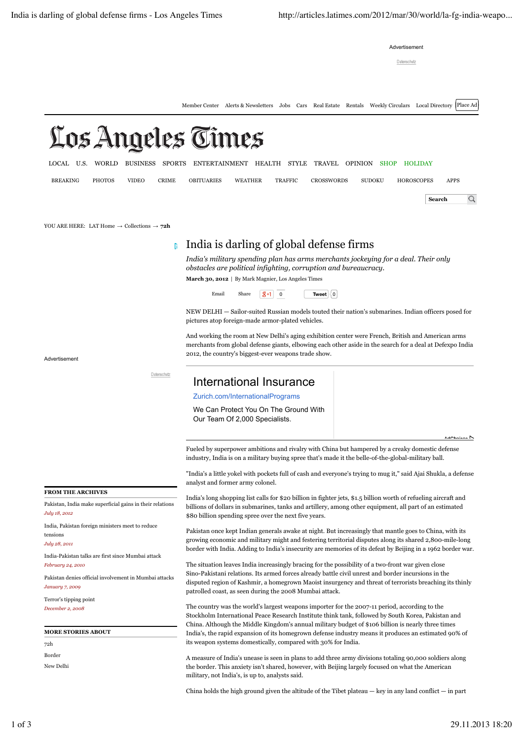Advertisement

Datenschut

Member Center Alerts & Newsletters Jobs Cars Real Estate Rentals Weekly Circulars Local Directory Place Ad

# Los Angeles Times

LOCAL U.S. WORLD BUSINESS SPORTS ENTERTAINMENT HEALTH STYLE TRAVEL OPINION SHOP HOLIDAY

BREAKING PHOTOS VIDEO CRIME OBITUARIES WEATHER TRAFFIC CROSSWORDS SUDOKU HOROSCOPES APPS

 $\overline{Q}$ **Search**

YOU ARE HERE: LAT Home → Collections → **72h**

## India is darling of global defense firms

*India's military spending plan has arms merchants jockeying for a deal. Their only obstacles are political infighting, corruption and bureaucracy.* **March 30, 2012** | By Mark Magnier, Los Angeles Times

Email Share  $\boxed{g+1}$  0 Tweet  $\boxed{0}$ 

NEW DELHI — Sailor-suited Russian models touted their nation's submarines. Indian officers posed for pictures atop foreign-made armor-plated vehicles.

And working the room at New Delhi's aging exhibition center were French, British and American arms merchants from global defense giants, elbowing each other aside in the search for a deal at Defexpo India 2012, the country's biggest-ever weapons trade show.

Advertisement

Datenschutz

### International Insurance

#### Zurich.com/InternationalPrograms

We Can Protect You On The Ground With Our Team Of 2,000 Specialists.

AdChoices D

Fueled by superpower ambitions and rivalry with China but hampered by a creaky domestic defense industry, India is on a military buying spree that's made it the belle-of-the-global-military ball.

"India's a little yokel with pockets full of cash and everyone's trying to mug it," said Ajai Shukla, a defense analyst and former army colonel.

India's long shopping list calls for \$20 billion in fighter jets, \$1.5 billion worth of refueling aircraft and billions of dollars in submarines, tanks and artillery, among other equipment, all part of an estimated \$80 billion spending spree over the next five years.

Pakistan once kept Indian generals awake at night. But increasingly that mantle goes to China, with its growing economic and military might and festering territorial disputes along its shared 2,800-mile-long border with India. Adding to India's insecurity are memories of its defeat by Beijing in a 1962 border war.

The situation leaves India increasingly bracing for the possibility of a two-front war given close Sino-Pakistani relations. Its armed forces already battle civil unrest and border incursions in the disputed region of Kashmir, a homegrown Maoist insurgency and threat of terrorists breaching its thinly patrolled coast, as seen during the 2008 Mumbai attack.

The country was the world's largest weapons importer for the 2007-11 period, according to the Stockholm International Peace Research Institute think tank, followed by South Korea, Pakistan and China. Although the Middle Kingdom's annual military budget of \$106 billion is nearly three times India's, the rapid expansion of its homegrown defense industry means it produces an estimated 90% of its weapon systems domestically, compared with 30% for India.

A measure of India's unease is seen in plans to add three army divisions totaling 90,000 soldiers along the border. This anxiety isn't shared, however, with Beijing largely focused on what the American military, not India's, is up to, analysts said.

China holds the high ground given the altitude of the Tibet plateau — key in any land conflict — in part

**FROM THE ARCHIVES**

Pakistan, India make superficial gains in their relations *July 18, 2012*

India, Pakistan foreign ministers meet to reduce tensions

*July 28, 2011*

India-Pakistan talks are first since Mumbai attack *February 24, 2010*

Pakistan denies official involvement in Mumbai attacks *January 7, 2009*

Terror's tipping point *December 2, 2008*

**MORE STORIES ABOUT**

72h Border

New Delhi